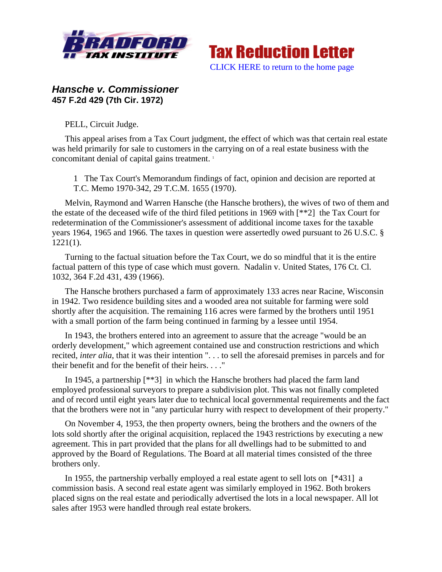



## *Hansche v. Commissioner*  **457 F.2d 429 (7th Cir. 1972)**

PELL, Circuit Judge.

This appeal arises from a Tax Court judgment, the effect of which was that certain real estate was held primarily for sale to customers in the carrying on of a real estate business with the concomitant denial of capital gains treatment.<sup>1</sup>

1 The Tax Court's Memorandum findings of fact, opinion and decision are reported at T.C. Memo 1970-342, 29 T.C.M. 1655 (1970).

Melvin, Raymond and Warren Hansche (the Hansche brothers), the wives of two of them and the estate of the deceased wife of the third filed petitions in 1969 with [\*\*2] the Tax Court for redetermination of the Commissioner's assessment of additional income taxes for the taxable years 1964, 1965 and 1966. The taxes in question were assertedly owed pursuant to 26 U.S.C. § 1221(1).

Turning to the factual situation before the Tax Court, we do so mindful that it is the entire factual pattern of this type of case which must govern. Nadalin v. United States, 176 Ct. Cl. 1032, 364 F.2d 431, 439 (1966).

The Hansche brothers purchased a farm of approximately 133 acres near Racine, Wisconsin in 1942. Two residence building sites and a wooded area not suitable for farming were sold shortly after the acquisition. The remaining 116 acres were farmed by the brothers until 1951 with a small portion of the farm being continued in farming by a lessee until 1954.

In 1943, the brothers entered into an agreement to assure that the acreage "would be an orderly development," which agreement contained use and construction restrictions and which recited, *inter alia*, that it was their intention ". . . to sell the aforesaid premises in parcels and for their benefit and for the benefit of their heirs. . . ."

In 1945, a partnership [\*\*3] in which the Hansche brothers had placed the farm land employed professional surveyors to prepare a subdivision plot. This was not finally completed and of record until eight years later due to technical local governmental requirements and the fact that the brothers were not in "any particular hurry with respect to development of their property."

On November 4, 1953, the then property owners, being the brothers and the owners of the lots sold shortly after the original acquisition, replaced the 1943 restrictions by executing a new agreement. This in part provided that the plans for all dwellings had to be submitted to and approved by the Board of Regulations. The Board at all material times consisted of the three brothers only.

In 1955, the partnership verbally employed a real estate agent to sell lots on [\*431] a commission basis. A second real estate agent was similarly employed in 1962. Both brokers placed signs on the real estate and periodically advertised the lots in a local newspaper. All lot sales after 1953 were handled through real estate brokers.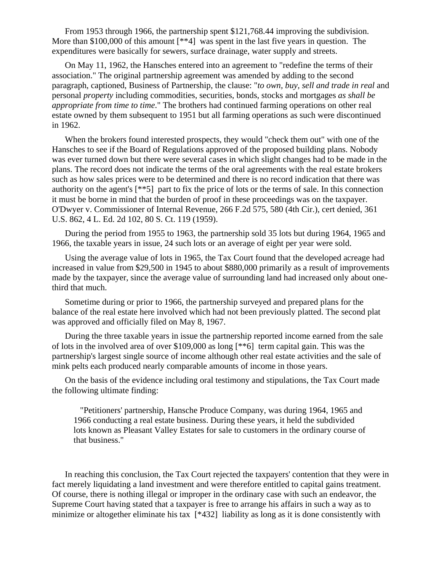From 1953 through 1966, the partnership spent \$121,768.44 improving the subdivision. More than \$100,000 of this amount [\*\*4] was spent in the last five years in question. The expenditures were basically for sewers, surface drainage, water supply and streets.

On May 11, 1962, the Hansches entered into an agreement to "redefine the terms of their association." The original partnership agreement was amended by adding to the second paragraph, captioned, Business of Partnership, the clause: "*to own, buy, sell and trade in real* and personal *property* including commodities, securities, bonds, stocks and mortgages *as shall be appropriate from time to time*." The brothers had continued farming operations on other real estate owned by them subsequent to 1951 but all farming operations as such were discontinued in 1962.

When the brokers found interested prospects, they would "check them out" with one of the Hansches to see if the Board of Regulations approved of the proposed building plans. Nobody was ever turned down but there were several cases in which slight changes had to be made in the plans. The record does not indicate the terms of the oral agreements with the real estate brokers such as how sales prices were to be determined and there is no record indication that there was authority on the agent's [\*\*5] part to fix the price of lots or the terms of sale. In this connection it must be borne in mind that the burden of proof in these proceedings was on the taxpayer. O'Dwyer v. Commissioner of Internal Revenue, 266 F.2d 575, 580 (4th Cir.), cert denied, 361 U.S. 862, 4 L. Ed. 2d 102, 80 S. Ct. 119 (1959).

During the period from 1955 to 1963, the partnership sold 35 lots but during 1964, 1965 and 1966, the taxable years in issue, 24 such lots or an average of eight per year were sold.

Using the average value of lots in 1965, the Tax Court found that the developed acreage had increased in value from \$29,500 in 1945 to about \$880,000 primarily as a result of improvements made by the taxpayer, since the average value of surrounding land had increased only about onethird that much.

Sometime during or prior to 1966, the partnership surveyed and prepared plans for the balance of the real estate here involved which had not been previously platted. The second plat was approved and officially filed on May 8, 1967.

During the three taxable years in issue the partnership reported income earned from the sale of lots in the involved area of over \$109,000 as long [\*\*6] term capital gain. This was the partnership's largest single source of income although other real estate activities and the sale of mink pelts each produced nearly comparable amounts of income in those years.

On the basis of the evidence including oral testimony and stipulations, the Tax Court made the following ultimate finding:

 "Petitioners' partnership, Hansche Produce Company, was during 1964, 1965 and 1966 conducting a real estate business. During these years, it held the subdivided lots known as Pleasant Valley Estates for sale to customers in the ordinary course of that business."

In reaching this conclusion, the Tax Court rejected the taxpayers' contention that they were in fact merely liquidating a land investment and were therefore entitled to capital gains treatment. Of course, there is nothing illegal or improper in the ordinary case with such an endeavor, the Supreme Court having stated that a taxpayer is free to arrange his affairs in such a way as to minimize or altogether eliminate his tax [\*432] liability as long as it is done consistently with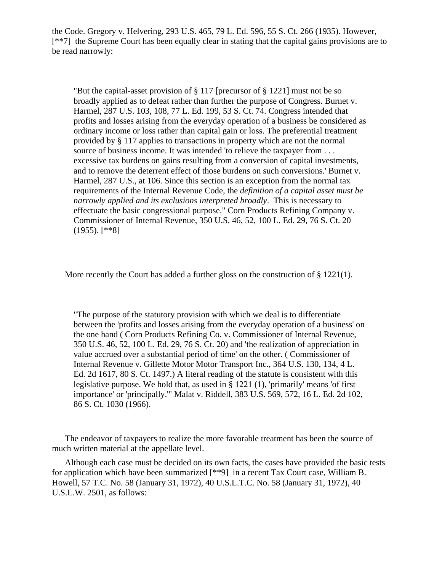the Code. Gregory v. Helvering, 293 U.S. 465, 79 L. Ed. 596, 55 S. Ct. 266 (1935). However, [\*\*7] the Supreme Court has been equally clear in stating that the capital gains provisions are to be read narrowly:

"But the capital-asset provision of § 117 [precursor of § 1221] must not be so broadly applied as to defeat rather than further the purpose of Congress. Burnet v. Harmel, 287 U.S. 103, 108, 77 L. Ed. 199, 53 S. Ct. 74. Congress intended that profits and losses arising from the everyday operation of a business be considered as ordinary income or loss rather than capital gain or loss. The preferential treatment provided by § 117 applies to transactions in property which are not the normal source of business income. It was intended 'to relieve the taxpayer from . . . excessive tax burdens on gains resulting from a conversion of capital investments, and to remove the deterrent effect of those burdens on such conversions.' Burnet v. Harmel, 287 U.S., at 106. Since this section is an exception from the normal tax requirements of the Internal Revenue Code, the *definition of a capital asset must be narrowly applied and its exclusions interpreted broadly*. This is necessary to effectuate the basic congressional purpose." Corn Products Refining Company v. Commissioner of Internal Revenue, 350 U.S. 46, 52, 100 L. Ed. 29, 76 S. Ct. 20 (1955). [\*\*8]

More recently the Court has added a further gloss on the construction of  $\S 1221(1)$ .

"The purpose of the statutory provision with which we deal is to differentiate between the 'profits and losses arising from the everyday operation of a business' on the one hand ( Corn Products Refining Co. v. Commissioner of Internal Revenue, 350 U.S. 46, 52, 100 L. Ed. 29, 76 S. Ct. 20) and 'the realization of appreciation in value accrued over a substantial period of time' on the other. ( Commissioner of Internal Revenue v. Gillette Motor Motor Transport Inc., 364 U.S. 130, 134, 4 L. Ed. 2d 1617, 80 S. Ct. 1497.) A literal reading of the statute is consistent with this legislative purpose. We hold that, as used in § 1221 (1), 'primarily' means 'of first importance' or 'principally.'" Malat v. Riddell, 383 U.S. 569, 572, 16 L. Ed. 2d 102, 86 S. Ct. 1030 (1966).

The endeavor of taxpayers to realize the more favorable treatment has been the source of much written material at the appellate level.

Although each case must be decided on its own facts, the cases have provided the basic tests for application which have been summarized [\*\*9] in a recent Tax Court case, William B. Howell, 57 T.C. No. 58 (January 31, 1972), 40 U.S.L.T.C. No. 58 (January 31, 1972), 40 U.S.L.W. 2501, as follows: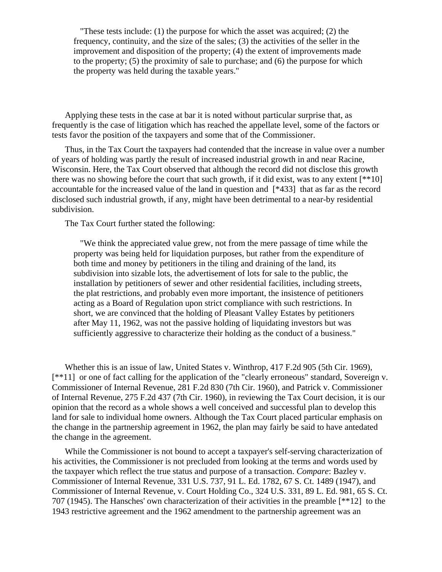"These tests include: (1) the purpose for which the asset was acquired; (2) the frequency, continuity, and the size of the sales; (3) the activities of the seller in the improvement and disposition of the property; (4) the extent of improvements made to the property; (5) the proximity of sale to purchase; and (6) the purpose for which the property was held during the taxable years."

Applying these tests in the case at bar it is noted without particular surprise that, as frequently is the case of litigation which has reached the appellate level, some of the factors or tests favor the position of the taxpayers and some that of the Commissioner.

Thus, in the Tax Court the taxpayers had contended that the increase in value over a number of years of holding was partly the result of increased industrial growth in and near Racine, Wisconsin. Here, the Tax Court observed that although the record did not disclose this growth there was no showing before the court that such growth, if it did exist, was to any extent  $[**10]$ accountable for the increased value of the land in question and [\*433] that as far as the record disclosed such industrial growth, if any, might have been detrimental to a near-by residential subdivision.

The Tax Court further stated the following:

 "We think the appreciated value grew, not from the mere passage of time while the property was being held for liquidation purposes, but rather from the expenditure of both time and money by petitioners in the tiling and draining of the land, its subdivision into sizable lots, the advertisement of lots for sale to the public, the installation by petitioners of sewer and other residential facilities, including streets, the plat restrictions, and probably even more important, the insistence of petitioners acting as a Board of Regulation upon strict compliance with such restrictions. In short, we are convinced that the holding of Pleasant Valley Estates by petitioners after May 11, 1962, was not the passive holding of liquidating investors but was sufficiently aggressive to characterize their holding as the conduct of a business."

Whether this is an issue of law, United States v. Winthrop, 417 F.2d 905 (5th Cir. 1969), [\*\*11] or one of fact calling for the application of the "clearly erroneous" standard, Sovereign v. Commissioner of Internal Revenue, 281 F.2d 830 (7th Cir. 1960), and Patrick v. Commissioner of Internal Revenue, 275 F.2d 437 (7th Cir. 1960), in reviewing the Tax Court decision, it is our opinion that the record as a whole shows a well conceived and successful plan to develop this land for sale to individual home owners. Although the Tax Court placed particular emphasis on the change in the partnership agreement in 1962, the plan may fairly be said to have antedated the change in the agreement.

While the Commissioner is not bound to accept a taxpayer's self-serving characterization of his activities, the Commissioner is not precluded from looking at the terms and words used by the taxpayer which reflect the true status and purpose of a transaction. *Compare*: Bazley v. Commissioner of Internal Revenue, 331 U.S. 737, 91 L. Ed. 1782, 67 S. Ct. 1489 (1947), and Commissioner of Internal Revenue, v. Court Holding Co., 324 U.S. 331, 89 L. Ed. 981, 65 S. Ct. 707 (1945). The Hansches' own characterization of their activities in the preamble [\*\*12] to the 1943 restrictive agreement and the 1962 amendment to the partnership agreement was an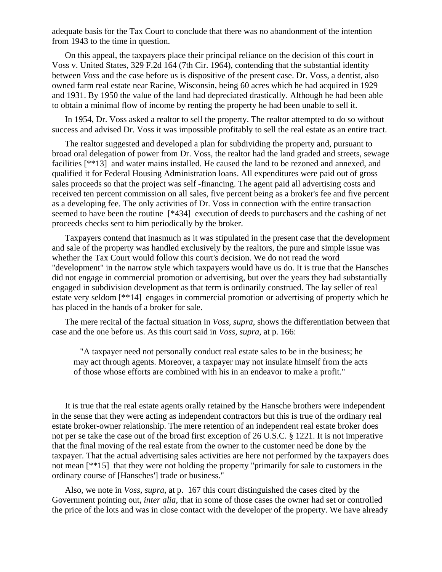adequate basis for the Tax Court to conclude that there was no abandonment of the intention from 1943 to the time in question.

On this appeal, the taxpayers place their principal reliance on the decision of this court in Voss v. United States, 329 F.2d 164 (7th Cir. 1964), contending that the substantial identity between *Voss* and the case before us is dispositive of the present case. Dr. Voss, a dentist, also owned farm real estate near Racine, Wisconsin, being 60 acres which he had acquired in 1929 and 1931. By 1950 the value of the land had depreciated drastically. Although he had been able to obtain a minimal flow of income by renting the property he had been unable to sell it.

In 1954, Dr. Voss asked a realtor to sell the property. The realtor attempted to do so without success and advised Dr. Voss it was impossible profitably to sell the real estate as an entire tract.

The realtor suggested and developed a plan for subdividing the property and, pursuant to broad oral delegation of power from Dr. Voss, the realtor had the land graded and streets, sewage facilities [\*\*13] and water mains installed. He caused the land to be rezoned and annexed, and qualified it for Federal Housing Administration loans. All expenditures were paid out of gross sales proceeds so that the project was self -financing. The agent paid all advertising costs and received ten percent commission on all sales, five percent being as a broker's fee and five percent as a developing fee. The only activities of Dr. Voss in connection with the entire transaction seemed to have been the routine [\*434] execution of deeds to purchasers and the cashing of net proceeds checks sent to him periodically by the broker.

Taxpayers contend that inasmuch as it was stipulated in the present case that the development and sale of the property was handled exclusively by the realtors, the pure and simple issue was whether the Tax Court would follow this court's decision. We do not read the word "development" in the narrow style which taxpayers would have us do. It is true that the Hansches did not engage in commercial promotion or advertising, but over the years they had substantially engaged in subdivision development as that term is ordinarily construed. The lay seller of real estate very seldom [\*\*14] engages in commercial promotion or advertising of property which he has placed in the hands of a broker for sale.

The mere recital of the factual situation in *Voss, supra*, shows the differentiation between that case and the one before us. As this court said in *Voss, supra*, at p. 166:

 "A taxpayer need not personally conduct real estate sales to be in the business; he may act through agents. Moreover, a taxpayer may not insulate himself from the acts of those whose efforts are combined with his in an endeavor to make a profit."

It is true that the real estate agents orally retained by the Hansche brothers were independent in the sense that they were acting as independent contractors but this is true of the ordinary real estate broker-owner relationship. The mere retention of an independent real estate broker does not per se take the case out of the broad first exception of 26 U.S.C. § 1221. It is not imperative that the final moving of the real estate from the owner to the customer need be done by the taxpayer. That the actual advertising sales activities are here not performed by the taxpayers does not mean [\*\*15] that they were not holding the property "primarily for sale to customers in the ordinary course of [Hansches'] trade or business."

Also, we note in *Voss, supra*, at p. 167 this court distinguished the cases cited by the Government pointing out, *inter alia*, that in some of those cases the owner had set or controlled the price of the lots and was in close contact with the developer of the property. We have already